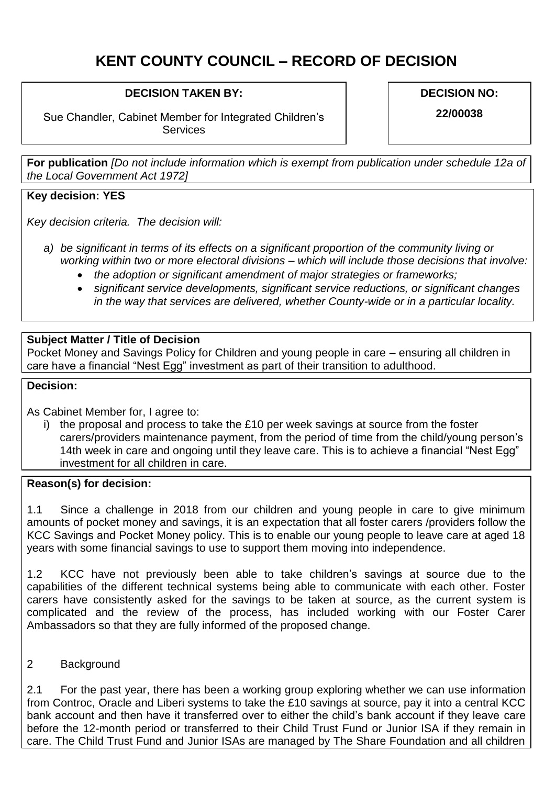# **KENT COUNTY COUNCIL – RECORD OF DECISION**

## **DECISION TAKEN BY:**

Sue Chandler, Cabinet Member for Integrated Children's **Services** 

**DECISION NO:**

**22/00038**

**For publication** *[Do not include information which is exempt from publication under schedule 12a of the Local Government Act 1972]*

## **Key decision: YES**

*Key decision criteria. The decision will:*

- *a) be significant in terms of its effects on a significant proportion of the community living or working within two or more electoral divisions – which will include those decisions that involve:*
	- *the adoption or significant amendment of major strategies or frameworks;*
	- *significant service developments, significant service reductions, or significant changes in the way that services are delivered, whether County-wide or in a particular locality.*

### **Subject Matter / Title of Decision**

Pocket Money and Savings Policy for Children and young people in care – ensuring all children in care have a financial "Nest Egg" investment as part of their transition to adulthood.

### **Decision:**

As Cabinet Member for, I agree to:

i) the proposal and process to take the £10 per week savings at source from the foster carers/providers maintenance payment, from the period of time from the child/young person's 14th week in care and ongoing until they leave care. This is to achieve a financial "Nest Egg" investment for all children in care.

### **Reason(s) for decision:**

1.1 Since a challenge in 2018 from our children and young people in care to give minimum amounts of pocket money and savings, it is an expectation that all foster carers /providers follow the KCC Savings and Pocket Money policy. This is to enable our young people to leave care at aged 18 years with some financial savings to use to support them moving into independence.

1.2 KCC have not previously been able to take children's savings at source due to the capabilities of the different technical systems being able to communicate with each other. Foster carers have consistently asked for the savings to be taken at source, as the current system is complicated and the review of the process, has included working with our Foster Carer Ambassadors so that they are fully informed of the proposed change.

### 2 Background

2.1 For the past year, there has been a working group exploring whether we can use information from Controc, Oracle and Liberi systems to take the £10 savings at source, pay it into a central KCC bank account and then have it transferred over to either the child's bank account if they leave care before the 12-month period or transferred to their Child Trust Fund or Junior ISA if they remain in care. The Child Trust Fund and Junior ISAs are managed by The Share Foundation and all children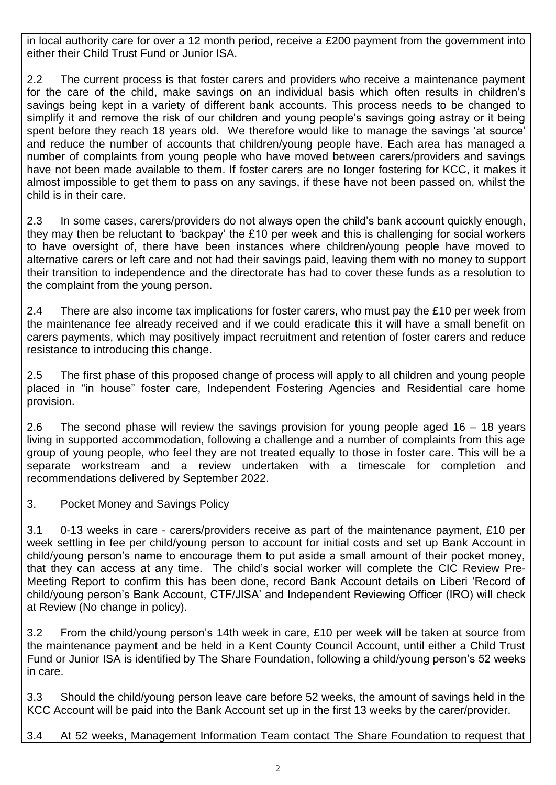in local authority care for over a 12 month period, receive a £200 payment from the government into either their Child Trust Fund or Junior ISA.

2.2 The current process is that foster carers and providers who receive a maintenance payment for the care of the child, make savings on an individual basis which often results in children's savings being kept in a variety of different bank accounts. This process needs to be changed to simplify it and remove the risk of our children and young people's savings going astray or it being spent before they reach 18 years old. We therefore would like to manage the savings 'at source' and reduce the number of accounts that children/young people have. Each area has managed a number of complaints from young people who have moved between carers/providers and savings have not been made available to them. If foster carers are no longer fostering for KCC, it makes it almost impossible to get them to pass on any savings, if these have not been passed on, whilst the child is in their care.

2.3 In some cases, carers/providers do not always open the child's bank account quickly enough, they may then be reluctant to 'backpay' the £10 per week and this is challenging for social workers to have oversight of, there have been instances where children/young people have moved to alternative carers or left care and not had their savings paid, leaving them with no money to support their transition to independence and the directorate has had to cover these funds as a resolution to the complaint from the young person.

2.4 There are also income tax implications for foster carers, who must pay the £10 per week from the maintenance fee already received and if we could eradicate this it will have a small benefit on carers payments, which may positively impact recruitment and retention of foster carers and reduce resistance to introducing this change.

2.5 The first phase of this proposed change of process will apply to all children and young people placed in "in house" foster care, Independent Fostering Agencies and Residential care home provision.

2.6 The second phase will review the savings provision for young people aged 16 – 18 years living in supported accommodation, following a challenge and a number of complaints from this age group of young people, who feel they are not treated equally to those in foster care. This will be a separate workstream and a review undertaken with a timescale for completion and recommendations delivered by September 2022.

3. Pocket Money and Savings Policy

3.1 0-13 weeks in care - carers/providers receive as part of the maintenance payment, £10 per week settling in fee per child/young person to account for initial costs and set up Bank Account in child/young person's name to encourage them to put aside a small amount of their pocket money, that they can access at any time. The child's social worker will complete the CIC Review Pre-Meeting Report to confirm this has been done, record Bank Account details on Liberi 'Record of child/young person's Bank Account, CTF/JISA' and Independent Reviewing Officer (IRO) will check at Review (No change in policy).

3.2 From the child/young person's 14th week in care, £10 per week will be taken at source from the maintenance payment and be held in a Kent County Council Account, until either a Child Trust Fund or Junior ISA is identified by The Share Foundation, following a child/young person's 52 weeks in care.

3.3 Should the child/young person leave care before 52 weeks, the amount of savings held in the KCC Account will be paid into the Bank Account set up in the first 13 weeks by the carer/provider.

3.4 At 52 weeks, Management Information Team contact The Share Foundation to request that